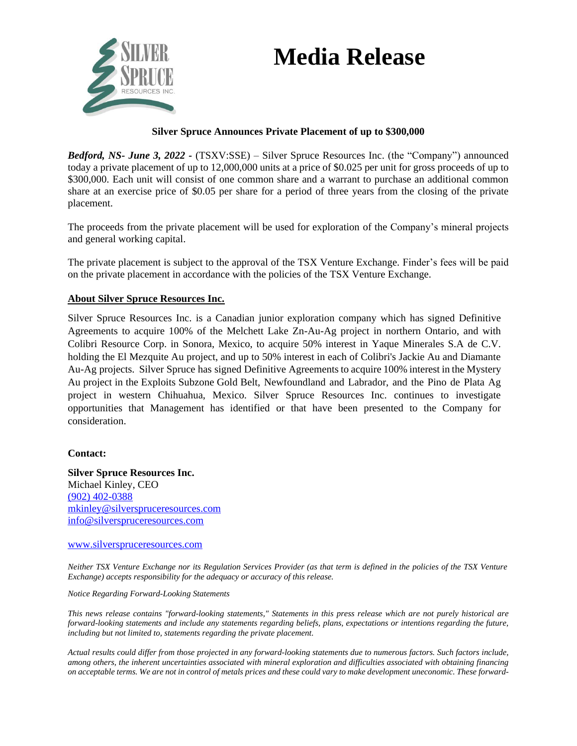# **Media Release**



### **Silver Spruce Announces Private Placement of up to \$300,000**

*Bedford, NS- June 3, 2022 -* (TSXV:SSE) – Silver Spruce Resources Inc. (the "Company") announced today a private placement of up to 12,000,000 units at a price of \$0.025 per unit for gross proceeds of up to \$300,000. Each unit will consist of one common share and a warrant to purchase an additional common share at an exercise price of \$0.05 per share for a period of three years from the closing of the private placement.

The proceeds from the private placement will be used for exploration of the Company's mineral projects and general working capital.

The private placement is subject to the approval of the TSX Venture Exchange. Finder's fees will be paid on the private placement in accordance with the policies of the TSX Venture Exchange.

## **About Silver Spruce Resources Inc.**

Silver Spruce Resources Inc. is a Canadian junior exploration company which has signed Definitive Agreements to acquire 100% of the Melchett Lake Zn-Au-Ag project in northern Ontario, and with Colibri Resource Corp. in Sonora, Mexico, to acquire 50% interest in Yaque Minerales S.A de C.V. holding the El Mezquite Au project, and up to 50% interest in each of Colibri's Jackie Au and Diamante Au-Ag projects. Silver Spruce has signed Definitive Agreements to acquire 100% interest in the Mystery Au project in the Exploits Subzone Gold Belt, Newfoundland and Labrador, and the Pino de Plata Ag project in western Chihuahua, Mexico. Silver Spruce Resources Inc. continues to investigate opportunities that Management has identified or that have been presented to the Company for consideration.

#### **Contact:**

**Silver Spruce Resources Inc.** Michael Kinley, CEO (902) 402-0388 mkinley@silverspruceresources.com [info@silverspruceresources.com](mailto:info@silverspruceresources.com)

#### [www.silverspruceresources.com](http://www.silverspruceresources.com/)

*Neither TSX Venture Exchange nor its Regulation Services Provider (as that term is defined in the policies of the TSX Venture Exchange) accepts responsibility for the adequacy or accuracy of this release.* 

#### *Notice Regarding Forward-Looking Statements*

*This news release contains "forward-looking statements," Statements in this press release which are not purely historical are forward-looking statements and include any statements regarding beliefs, plans, expectations or intentions regarding the future, including but not limited to, statements regarding the private placement.*

*Actual results could differ from those projected in any forward-looking statements due to numerous factors. Such factors include, among others, the inherent uncertainties associated with mineral exploration and difficulties associated with obtaining financing on acceptable terms. We are not in control of metals prices and these could vary to make development uneconomic. These forward-*